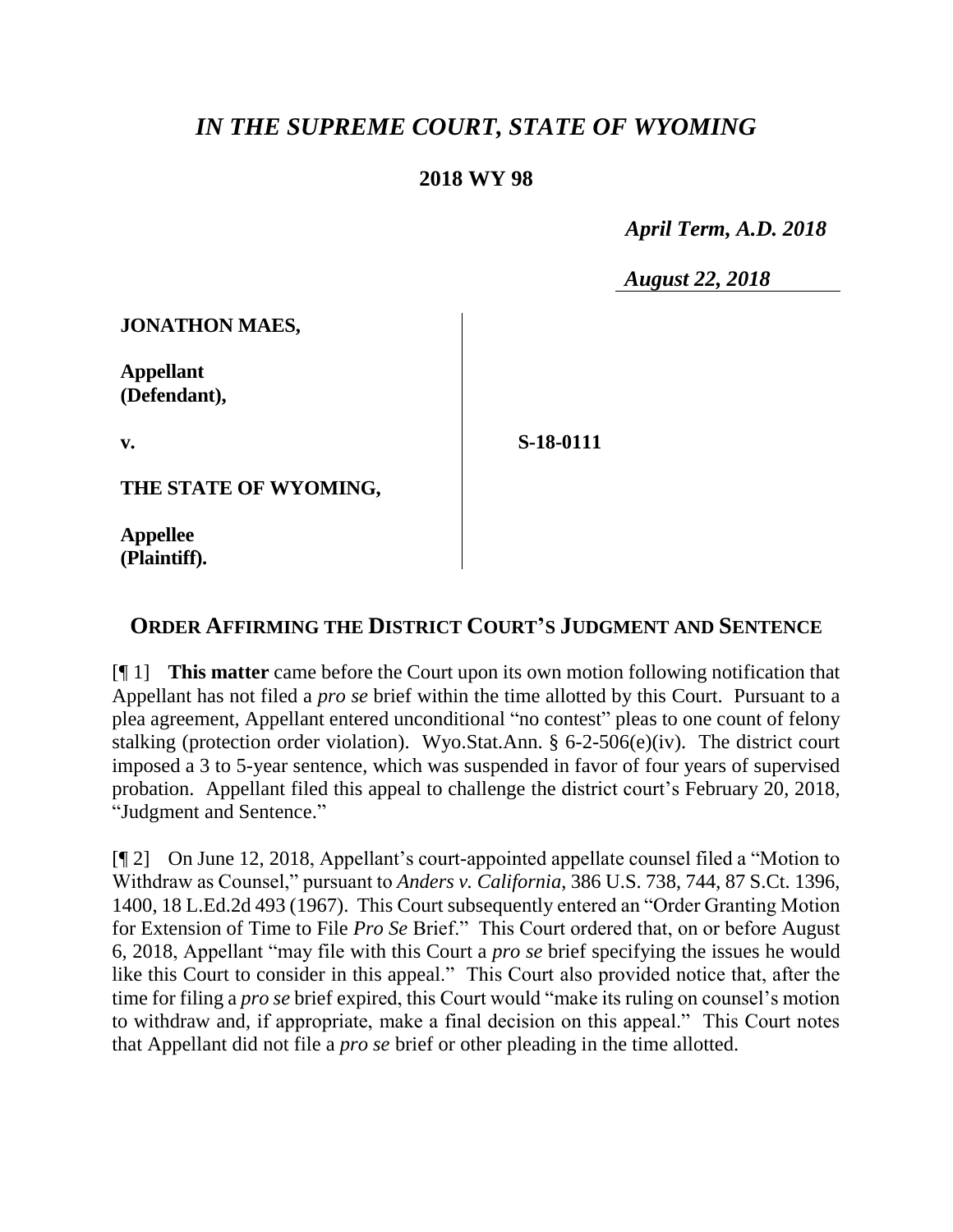## *IN THE SUPREME COURT, STATE OF WYOMING*

## **2018 WY 98**

 *April Term, A.D. 2018*

*August 22, 2018*

**JONATHON MAES,** 

**Appellant (Defendant),**

**v.**

**S-18-0111**

**THE STATE OF WYOMING,**

**Appellee (Plaintiff).**

## **ORDER AFFIRMING THE DISTRICT COURT'S JUDGMENT AND SENTENCE**

[¶ 1] **This matter** came before the Court upon its own motion following notification that Appellant has not filed a *pro se* brief within the time allotted by this Court. Pursuant to a plea agreement, Appellant entered unconditional "no contest" pleas to one count of felony stalking (protection order violation). Wyo.Stat.Ann. § 6-2-506(e)(iv). The district court imposed a 3 to 5-year sentence, which was suspended in favor of four years of supervised probation. Appellant filed this appeal to challenge the district court's February 20, 2018, "Judgment and Sentence."

[¶ 2] On June 12, 2018, Appellant's court-appointed appellate counsel filed a "Motion to Withdraw as Counsel," pursuant to *Anders v. California*, 386 U.S. 738, 744, 87 S.Ct. 1396, 1400, 18 L.Ed.2d 493 (1967). This Court subsequently entered an "Order Granting Motion for Extension of Time to File *Pro Se* Brief." This Court ordered that, on or before August 6, 2018, Appellant "may file with this Court a *pro se* brief specifying the issues he would like this Court to consider in this appeal." This Court also provided notice that, after the time for filing a *pro se* brief expired, this Court would "make its ruling on counsel's motion to withdraw and, if appropriate, make a final decision on this appeal." This Court notes that Appellant did not file a *pro se* brief or other pleading in the time allotted.